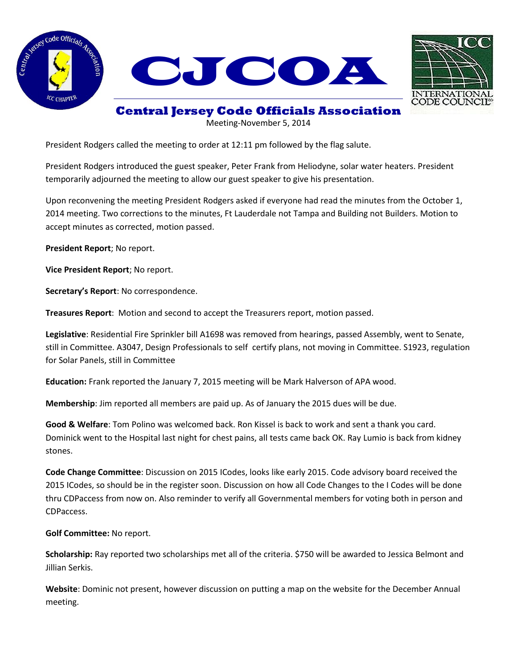





## **Central Jersey Code Officials Association**

Meeting-November 5, 2014

President Rodgers called the meeting to order at 12:11 pm followed by the flag salute.

President Rodgers introduced the guest speaker, Peter Frank from Heliodyne, solar water heaters. President temporarily adjourned the meeting to allow our guest speaker to give his presentation.

Upon reconvening the meeting President Rodgers asked if everyone had read the minutes from the October 1, 2014 meeting. Two corrections to the minutes, Ft Lauderdale not Tampa and Building not Builders. Motion to accept minutes as corrected, motion passed.

**President Report**; No report.

**Vice President Report**; No report.

**Secretary's Report**: No correspondence.

**Treasures Report**: Motion and second to accept the Treasurers report, motion passed.

**Legislative**: Residential Fire Sprinkler bill A1698 was removed from hearings, passed Assembly, went to Senate, still in Committee. A3047, Design Professionals to self certify plans, not moving in Committee. S1923, regulation for Solar Panels, still in Committee

**Education:** Frank reported the January 7, 2015 meeting will be Mark Halverson of APA wood.

**Membership**: Jim reported all members are paid up. As of January the 2015 dues will be due.

**Good & Welfare**: Tom Polino was welcomed back. Ron Kissel is back to work and sent a thank you card. Dominick went to the Hospital last night for chest pains, all tests came back OK. Ray Lumio is back from kidney stones.

**Code Change Committee**: Discussion on 2015 ICodes, looks like early 2015. Code advisory board received the 2015 ICodes, so should be in the register soon. Discussion on how all Code Changes to the I Codes will be done thru CDPaccess from now on. Also reminder to verify all Governmental members for voting both in person and CDPaccess.

**Golf Committee:** No report.

**Scholarship:** Ray reported two scholarships met all of the criteria. \$750 will be awarded to Jessica Belmont and Jillian Serkis.

**Website**: Dominic not present, however discussion on putting a map on the website for the December Annual meeting.